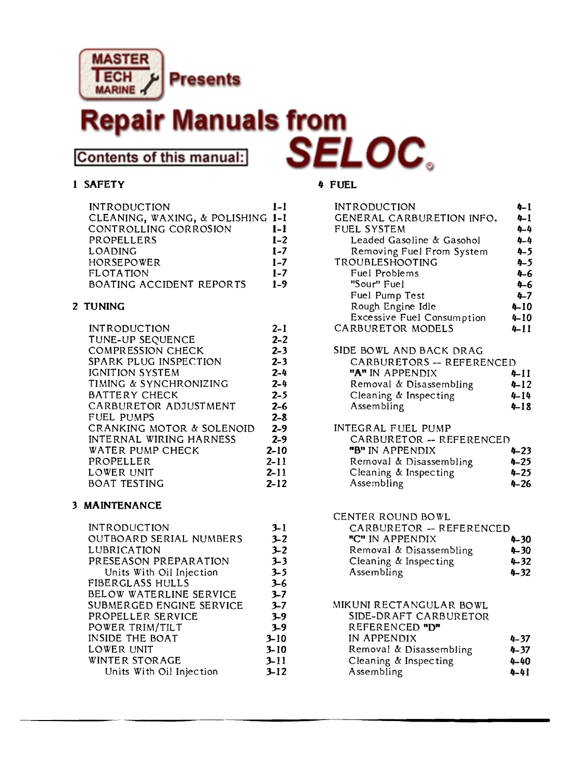

# **Manuals from**

**Contents of this manual:** 

### 1 SAFETY 4 FUEL

| <b>INTRODUCTION</b>               | $1 - 1$ |
|-----------------------------------|---------|
| CLEANING, WAXING, & POLISHING 1-1 |         |
| CONTROLLING CORROSION             | $1-1$   |
| PROPELLERS                        | $1 - 2$ |
| LOADING                           | $1 - 7$ |
| HORSEPOWER                        | $1 - 7$ |
| FLOTATION                         | $1 - 7$ |
| BOATING ACCIDENT REPORTS          | $1 - 9$ |
|                                   |         |

#### 2 TUNING

| <b>INTRODUCTION</b>            | $2 - 1$  |
|--------------------------------|----------|
| TUNE-UP SEQUENCE               | $2 - 2$  |
| <b>COMPRESSION CHECK</b>       | $2 - 3$  |
| SPARK PLUG INSPECTION          | $2 - 3$  |
| <b>IGNITION SYSTEM</b>         | $2 - 4$  |
| TIMING & SYNCHRONIZING         | $2 - 4$  |
| BATTERY CHECK                  | $2 - 5$  |
| CARBURETOR ADJUSTMENT          | $2 - 6$  |
| <b>FUEL PUMPS</b>              | $2 - 8$  |
| CRANKING MOTOR & SOLENOID      | $2-9$    |
| <b>INTERNAL WIRING HARNESS</b> | $2 - 9$  |
| WATER PUMP CHECK               | $2 - 10$ |
| PROPELLER                      | $2 - 11$ |
| LOWER UNIT                     | $2 - 11$ |
| <b>BOAT TESTING</b>            | $2 - 12$ |

### 3 MAINTENANCE

| <b>INTRODUCTION</b>            | $3 - 1$  |
|--------------------------------|----------|
| <b>OUTBOARD SERIAL NUMBERS</b> | $3 - 2$  |
| LUBRICATION                    | $3 - 2$  |
| PRESEASON PREPARATION          | $3 - 3$  |
| Units With Oil Injection       | $3 - 5$  |
| FIBERGLASS HULLS               | $3 - 6$  |
| BELOW WATERLINE SERVICE        | $3 - 7$  |
| SUBMERGED ENGINE SERVICE       | $3 - 7$  |
| PROPELLER SERVICE              | $3 - 9$  |
| POWER TRIM/TILT                | $3 - 9$  |
| <b>INSIDE THE BOAT</b>         | $3 - 10$ |
| LOWER UNIT                     | $3 - 10$ |
| WINTER STORAGE                 | $3 - 11$ |
| Units With Oil Injection       | $3 - 12$ |

| <b>INTRODUCTION</b>                                                                                                                       | $4 - 1$                                  |
|-------------------------------------------------------------------------------------------------------------------------------------------|------------------------------------------|
| GENERAL CARBURETION INFO.                                                                                                                 | $4 - 1$                                  |
| FUEL SYSTEM                                                                                                                               | 4-4                                      |
| Leaded Gasoline & Gasohol                                                                                                                 | 4-4                                      |
| Removing Fuel From System                                                                                                                 | $4 - 5$                                  |
| TROUBLESHOOTING                                                                                                                           | $4 - 5$                                  |
| Fuel Problems                                                                                                                             | 4-6                                      |
| "Sour" Fuel                                                                                                                               | 4–6                                      |
| Fuel Pump Test                                                                                                                            | $4 - 7$                                  |
| Rough Engine Idle                                                                                                                         | $4 - 10$                                 |
| Excessive Fuel Consumption                                                                                                                | $4 - 10$                                 |
| CARBURETOR MODELS                                                                                                                         | 4-11                                     |
| SIDE BOWL AND BACK DRAG<br>CARBURETORS -- REFERENCED<br>"A" IN APPENDIX<br>Removal & Disassembling<br>Cleaning & Inspecting<br>Assembling | 4-11<br>$4 - 12$<br>$4 - 14$<br>$4 - 18$ |
| INTEGRAL FUEL PUMP<br>CARBURETOR - REFERENCED<br>"B" IN APPENDIX<br>Removal & Disassembling<br>Cleaning & Inspecting<br>Assembling        | 4-23<br>$4 - 25$<br>$4 - 25$<br>4-26     |

CENTER ROUND BOWL

| CARBURETOR - REFERENCED |          |
|-------------------------|----------|
| "C" IN APPENDIX         | $4 - 30$ |
| Removal & Disassembling | $4 - 30$ |
| Cleaning & Inspecting   | $4 - 32$ |
| Assembling              | $4 - 32$ |

#### MIKUNI RECTANGULAR BOWL

| SIDE-DRAFT CARBURETOR   |          |
|-------------------------|----------|
| REFERENCED "D"          |          |
| IN APPENDIX             | $4 - 37$ |
| Removal & Disassembling | $4 - 37$ |
| Cleaning & Inspecting   | 4-40     |
| Assembling              | 4-41     |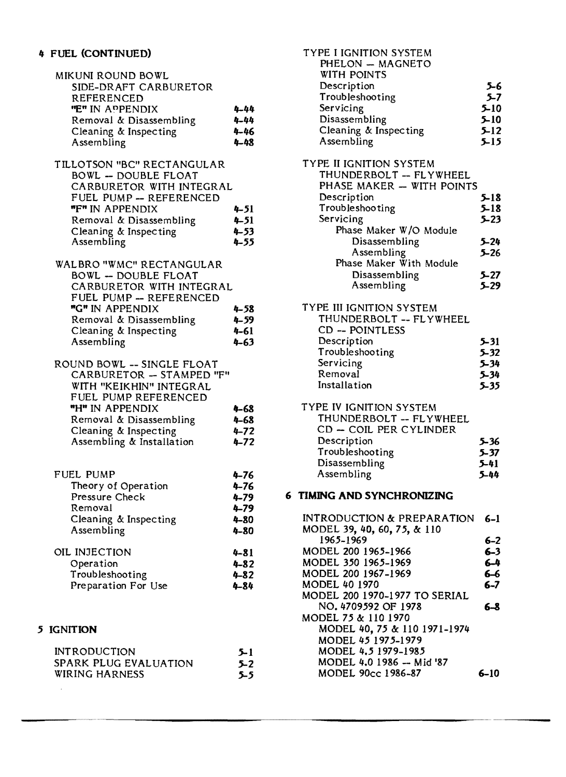| MIKUNI ROUND BOWL<br>SIDE-DRAFT CARBURETOR<br>REFERENCED<br>"E" IN APPENDIX<br>Removal & Disassembling<br>Cleaning & Inspecting<br>Assembling                                                                 | $4 - 44$<br>4-44<br>$4 - 46$<br>$4 - 48$                 |
|---------------------------------------------------------------------------------------------------------------------------------------------------------------------------------------------------------------|----------------------------------------------------------|
| TILLOTSON "BC" RECTANGULAR<br>BOWL -- DOUBLE FLOAT<br>CARBURETOR WITH INTEGRAL<br>FUEL PUMP -- REFERENCED<br>"F" IN APPENDIX<br>Removal & Disassembling<br>Cleaning & Inspecting<br>Assembling                | 4–51<br>$4 - 51$<br>$4 - 53$<br>4-55                     |
| <b>WALBRO "WMC" RECTANGULAR</b><br>BOWL -- DOUBLE FLOAT<br>CARBURETOR WITH INTEGRAL<br>FUEL PUMP -- REFERENCED<br>"G" IN APPENDIX<br>Removal & Disassembling<br>Cleaning & Inspecting<br>Assembling           | $4 - 58$<br>$4 - 59$<br>$4 - 61$<br>4-63                 |
| ROUND BOWL -- SINGLE FLOAT<br>CARBURETOR - STAMPED "F"<br>WITH "KEIKHIN" INTEGRAL<br>FUEL PUMP REFERENCED<br>"H" IN APPENDIX<br>Removal & Disassembling<br>Cleaning & Inspecting<br>Assembling & Installation | 4-68<br>$4 - 68$<br>$4 - 72$<br>$4 - 72$                 |
| <b>FUEL PUMP</b><br>Theory of Operation<br>Pressure Check<br>Removal<br>Cleaning & Inspecting<br>Assembling                                                                                                   | 4–76<br>$4 - 76$<br>$4 - 79$<br>4-79<br>$4 - 80$<br>4-80 |
| OIL INJECTION<br>Operation<br>Troubleshooting<br>Preparation For Use                                                                                                                                          | $4 - 81$<br>$4 - 82$<br>$4 - 82$<br>$4 - 84$             |
| <b>IGNITION</b>                                                                                                                                                                                               |                                                          |
|                                                                                                                                                                                                               |                                                          |

| <b>INTRODUCTION</b>   | $5 - 1$ |
|-----------------------|---------|
| SPARK PLUG EVALUATION | $5 - 2$ |
| <b>WIRING HARNESS</b> | $5 - 5$ |

 $5$ 

 $\bar{z}$ 

| TYPE I IGNITION SYSTEM<br>PHELON - MAGNETO<br>WITH POINTS                                                                                     |                                          |
|-----------------------------------------------------------------------------------------------------------------------------------------------|------------------------------------------|
| Description                                                                                                                                   | 5-6                                      |
| Troubleshooting                                                                                                                               | $5 - 7$                                  |
| Servicing                                                                                                                                     | $5 - 10$                                 |
| Disassembling                                                                                                                                 | $5 - 10$                                 |
| Cleaning & Inspecting                                                                                                                         | $5 - 12$                                 |
| Assembling                                                                                                                                    | $5 - 15$                                 |
| TYPE II IGNITION SYSTEM<br>THUNDERBOLT -- FLYWHEEL<br>PHASE MAKER - WITH POINTS<br>Description<br>Troubleshooting<br>Servicing                | 5-18<br>$5 - 18$<br>$5 - 23$             |
| Phase Maker W/O Module                                                                                                                        |                                          |
| Disassembling                                                                                                                                 | $5 - 24$                                 |
| Assembling                                                                                                                                    | $5 - 26$                                 |
| Phase Maker With Module                                                                                                                       |                                          |
| Disassembling                                                                                                                                 | $5 - 27$                                 |
| Assembling                                                                                                                                    | $5 - 29$                                 |
| TYPE III IGNITION SYSTEM<br>THUNDERBOLT -- FLYWHEEL<br>CD -- POINTLESS<br>Description<br>Troubleshooting<br>Servicing<br>Removal              | 5-31<br>$5 - 32$<br>$5 - 34$<br>$5 - 34$ |
| Installation                                                                                                                                  | $5 - 35$                                 |
| TYPE IV IGNITION SYSTEM<br>THUNDERBOLT -- FLYWHEEL<br>CD - COIL PER CYLINDER<br>Description<br>Troubleshooting<br>Disassembling<br>Assembling | 5-36<br>5-37<br>$5 - 41$<br>5-44         |
| <b>6 TIMING AND SYNCHRONIZING</b>                                                                                                             |                                          |
| <b>INTRODUCTION &amp; PREPARATION</b><br>MODEL 39, 40, 60, 75, & 110                                                                          | $6-1$                                    |
| 1965-1969<br>MODEL 200 1965-1966                                                                                                              | $6 - 2$<br>$6 - 3$                       |
| MODEL 350 1965-1969                                                                                                                           | $6-4$                                    |
| MODEL 200 1967-1969                                                                                                                           | $6-6$                                    |
| <b>MODEL 40 1970</b>                                                                                                                          | $6 - 7$                                  |
| MODEL 200 1970-1977 TO SERIAL                                                                                                                 |                                          |
| NO. 4709592 OF 1978<br>MODEL 75 & 110 1970                                                                                                    | $6 - 8$                                  |

MODEL 40, 75 &: 110 1971-1974

MODEL 45 1975-1979 MODEL 4.5 1979-1985

MODEL 90cc 1986-87

MODEL 4.0 1986 - Mid '87 6-10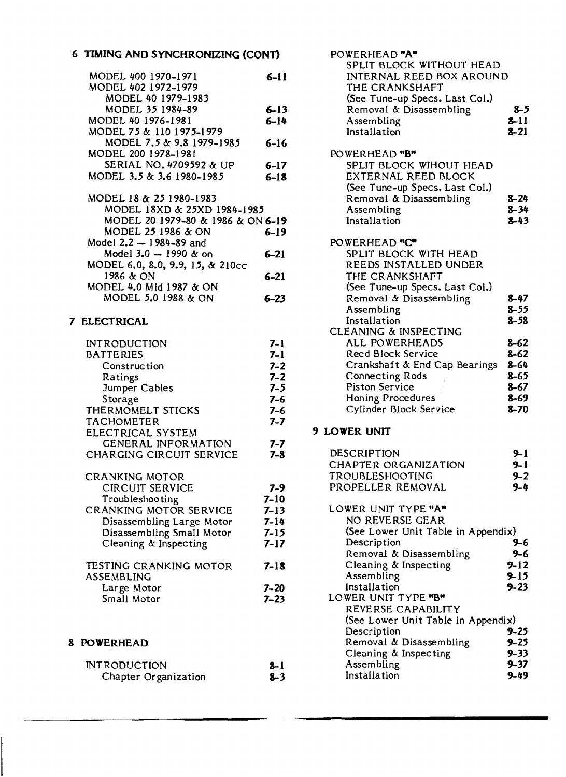# 6 TIMING AND SYNCHRONIZING (CONT)

| MODEL 400 1970-1971               | $6 - 11$ | <b>INTERNAL REED BOX AROUND</b> |  |
|-----------------------------------|----------|---------------------------------|--|
| MODEL 402 1972-1979               |          | THE CRANKSHAFT                  |  |
| MODEL 40 1979-1983                |          | (See Tune-up Specs. Last Col.)  |  |
| MODEL 35 1984-89                  | $6 - 13$ | Removal & Disassembling         |  |
| MODEL 40 1976-1981                | $6 - 14$ | Assembling                      |  |
| MODEL 75 & 110 1975-1979          |          | Installation                    |  |
| MODEL 7.5 & 9.8 1979-1985         | $6 - 16$ |                                 |  |
| MODEL 200 1978-1981               |          | POWERHEAD "B"                   |  |
| SERIAL NO. 4709592 & UP           | $6 - 17$ | SPLIT BLOCK WIHOUT HEAD         |  |
| MODEL 3.5 & 3.6 1980-1985         | $6 - 18$ | EXTERNAL REED BLOCK             |  |
|                                   |          | (See Tune-up Specs. Last Col.)  |  |
| MODEL 18 & 25 1980-1983           |          | Removal & Disassembling         |  |
| MODEL 18XD & 25XD 1984-1985       |          | Assembling                      |  |
| MODEL 20 1979-80 & 1986 & ON 6-19 |          | Installation                    |  |
| MODEL 25 1986 & ON                | $6 - 19$ |                                 |  |
| Model 2.2 -- 1984-89 and          |          | POWERHEAD "C"                   |  |
| Model $3.0 - 1990$ & on           | $6 - 21$ | SPLIT BLOCK WITH HEAD           |  |
| MODEL 6.0, 8.0, 9.9, 15, & 210cc  |          | REEDS INSTALLED UNDER           |  |
| 1986 & ON                         | $6 - 21$ | THE CRANKSHAFT                  |  |
| MODEL 4.0 Mid 1987 & ON           |          | (See Tune-up Specs. Last Col.)  |  |
| MODEL 5.0 1988 & ON               | $6 - 23$ | Removal & Disassembling         |  |
|                                   |          |                                 |  |

# 7 ELECTRICAL

| <b>INTRODUCTION</b>       | 7-1      |
|---------------------------|----------|
| <b>BATTERIES</b>          | 7-1      |
| Construction              | $7 - 2$  |
| Ratings                   | $7 - 2$  |
| Jumper Cables             | $7 - 5$  |
| Storage                   | $7 - 6$  |
| THERMOMELT STICKS         | $7 - 6$  |
| <b>TACHOMETER</b>         | 7-7      |
| ELECTRICAL SYSTEM         |          |
| GENERAL INFORMATION       | $7 - 7$  |
| CHARGING CIRCUIT SERVICE  | $7 - 8$  |
| CRANKING MOTOR            |          |
| <b>CIRCUIT SERVICE</b>    | 7-9      |
| Troubleshooting           | $7 - 10$ |
| CRANKING MOTOR SERVICE    | $7 - 13$ |
| Disassembling Large Motor | $7 - 14$ |
| Disassembling Small Motor | $7 - 15$ |
| Cleaning & Inspecting     | 7-17     |
| TESTING CRANKING MOTOR    | 7-18     |
| 8 P P T 1 1 D Y Y 1 1 O   |          |

| $1 - 10$ |
|----------|
|          |
| $7 - 20$ |
| $7 - 23$ |
|          |

# 8 POWERHEAD

| <b>INTRODUCTION</b>  | $2 - 1$ |
|----------------------|---------|
| Chapter Organization | $8 - 3$ |

| POWERHEAD "A"<br>SPLIT BLOCK WITHOUT HEAD<br>INTERNAL REED BOX AROUND<br>THE CRANKSHAFT                                                                    |                                                      |
|------------------------------------------------------------------------------------------------------------------------------------------------------------|------------------------------------------------------|
| (See Tune-up Specs. Last Col.)<br>Removal & Disassembling<br>Assembling<br>Installation                                                                    | $8 - 5$<br>$8 - 11$<br>$8 - 21$                      |
| POWERHEAD "B"<br>SPLIT BLOCK WIHOUT HEAD<br>EXTERNAL REED BLOCK<br>(See Tune-up Specs. Last Col.)<br>Removal & Disassembling<br>Assembling<br>Installation | $8 - 24$<br>$8 - 34$<br>$8 - 43$                     |
| POWERHEAD "C"<br>SPLIT BLOCK WITH HEAD<br>REEDS INSTALLED UNDER<br>THE CRANKSHAFT<br>(See Tune-up Specs. Last Col.)                                        |                                                      |
| Removal & Disassembling<br>Assembling<br>Installation<br>CLEANING & INSPECTING                                                                             | $8 - 47$<br>$8 - 55$<br>$8 - 58$                     |
| ALL POWERHEADS<br>Reed Block Service<br>Crankshaft & End Cap Bearings                                                                                      | $8 - 62$<br>$8 - 62$<br>8-64                         |
| <b>Connecting Rods</b><br><b>Piston Service</b><br><b>Honing Procedures</b><br>Cylinder Block Service                                                      | 8-65<br>8-67<br>$8 - 69$<br>$8 - 70$                 |
| <b>9 LOWER UNIT</b>                                                                                                                                        |                                                      |
| DESCRIPTION<br>CHAPTER ORGANIZATION<br>TROUBLESHOOTING<br>PROPELLER REMOVAL                                                                                | 9–1<br>9-1<br>$9 - 2$<br>$9 - 4$                     |
| LOWER UNIT TYPE "A"<br>NO REVERSE GEAR<br>(See Lower Unit Table in Appendix)                                                                               |                                                      |
| Description<br>Removal & Disassembling<br>Cleaning & Inspecting<br>Assembling<br>Installation                                                              | $9-6$<br>$9 - 6$<br>$9 - 12$<br>$9 - 15$<br>$9 - 23$ |
| LOWER UNIT TYPE "B"<br>REVERSE CAPABILITY                                                                                                                  |                                                      |

| REVERSE CAPABILITY                 |          |
|------------------------------------|----------|
| (See Lower Unit Table in Appendix) |          |
| Description                        | $9 - 25$ |
| Removal & Disassembling            | $9 - 25$ |
| Cleaning & Inspecting              | $9 - 33$ |
| Assembling                         | $9 - 37$ |
| Installation                       | $9 - 49$ |
|                                    |          |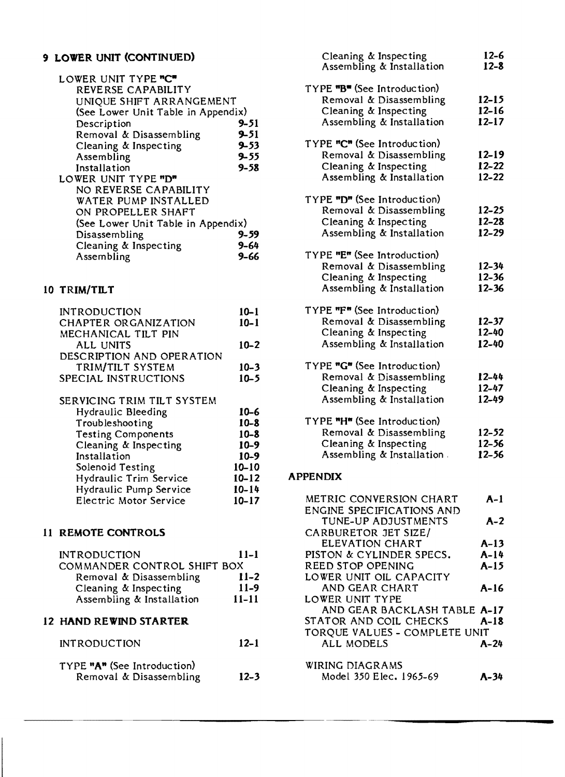# 9 LOWER UNIT (CONTINUED)

| LOWER UNIT TYPE "C"                |          |
|------------------------------------|----------|
| REVERSE CAPABILITY                 |          |
| UNIQUE SHIFT ARRANGEMENT           |          |
| (See Lower Unit Table in Appendix) |          |
| Description                        | 9–51     |
| Removal & Disassembling            | $9 - 51$ |
| Cleaning & Inspecting              | $9 - 53$ |
| Assembling                         | $9 - 55$ |
| Installation                       | $9 - 58$ |
| LOWER UNIT TYPE "D"                |          |
| NO REVERSE CAPABILITY              |          |
| WATER PUMP INSTALLED               |          |
| ON PROPELLER SHAFT                 |          |
| (See Lower Unit Table in Appendix) |          |
| Disassembling                      | $9 - 59$ |
| Cleaning & Inspecting              | 9–64     |
| Assembling                         | 9–66     |

# 10 TRIM/TILT

| <b>INTRODUCTION</b>        | $10 - 1$ |
|----------------------------|----------|
| CHAPTER ORGANIZATION       | $10 - 1$ |
| MECHANICAL TILT PIN        |          |
| ALL UNITS                  | $10 - 2$ |
| DESCRIPTION AND OPERATION  |          |
| TRIM/TILT SYSTEM           | $10 - 3$ |
| SPECIAL INSTRUCTIONS       | $10 - 5$ |
|                            |          |
| SERVICING TRIM TILT SYSTEM |          |

| Hydraulic Bleeding        | $10 - 6$  |
|---------------------------|-----------|
| Troubleshooting           | $10 - 8$  |
| <b>Testing Components</b> | $10 - 8$  |
| Cleaning & Inspecting     | $10 - 9$  |
| Installation              | $10 - 9$  |
| Solenoid Testing          | $10 - 10$ |
| Hydraulic Trim Service    | $10 - 12$ |
| Hydraulic Pump Service    | $10 - 14$ |
| Electric Motor Service    | $10 - 17$ |
|                           |           |

# 11 REMOTE CONTROLS

| <b>INTRODUCTION</b>         | $11 - 1$ |
|-----------------------------|----------|
| COMMANDER CONTROL SHIFT BOX |          |
| Removal & Disassembling     | $11 - 2$ |
| Cleaning & Inspecting       | $11-9$   |
| Assembling & Installation   | $11-11$  |

### 12 HAND REWIND STARTER

INTRODUCTION 12-1

| TYPE "A" (See Introduction) |                         |          |
|-----------------------------|-------------------------|----------|
|                             | Removal & Disassembling | $12 - 3$ |

| Cleaning & Inspecting<br>Assembling & Installation                                                           | $12 - 6$<br>$12 - 8$                |
|--------------------------------------------------------------------------------------------------------------|-------------------------------------|
| TYPE "B" (See Introduction)<br>Removal & Disassembling<br>Cleaning & Inspecting<br>Assembling & Installation | $12 - 15$<br>$12 - 16$<br>$12 - 17$ |
| TYPE "C" (See Introduction)<br>Removal & Disassembling<br>Cleaning & Inspecting<br>Assembling & Installation | $12 - 19$<br>$12 - 22$<br>12-22     |
| TYPE "D" (See Introduction)<br>Removal & Disassembling<br>Cleaning & Inspecting<br>Assembling & Installation | $12 - 25$<br>$12 - 28$<br>12-29     |
| TYPE "E" (See Introduction)<br>Removal & Disassembling<br>Cleaning & Inspecting<br>Assembling & Installation | $12 - 34$<br>$12 - 36$<br>$12 - 36$ |
| TYPE "F" (See Introduction)<br>Removal & Disassembling<br>Cleaning & Inspecting<br>Assembling & Installation | $12 - 37$<br>12-40<br>12-40         |
| TYPE "G" (See Introduction)<br>Removal & Disassembling<br>Cleaning & Inspecting<br>Assembling & Installation | 12-44<br>$12 - 47$<br>12-49         |
| TYPE "H" (See Introduction)<br>Removal & Disassembling<br>Cleaning & Inspecting                              | 12-52<br>$12 - 56$                  |

#### APPENDIX

| METRIC CONVERSION CHART       | A-1      |
|-------------------------------|----------|
| ENGINE SPECIFICATIONS AND     |          |
| TUNE-UP ADJUSTMENTS           | $A-2$    |
| CARBURETOR JET SIZE/          |          |
| ELEVATION CHART               | A-13     |
| PISTON & CYLINDER SPECS.      | A-14     |
| REED STOP OPENING             | $A-15$   |
| LOWER UNIT OIL CAPACITY       |          |
| AND GEAR CHART                | A-16     |
| LOWER UNIT TYPE               |          |
| AND GEAR BACKLASH TABLE A-17  |          |
| STATOR AND COIL CHECKS A-18   |          |
| TORQUE VALUES - COMPLETE UNIT |          |
| ALL MODELS                    | $A - 24$ |
| WIRING DIAGRAMS               |          |
| Model 350 Elec. 1965-69       | A-34     |

Assembling & Installation,

12-56